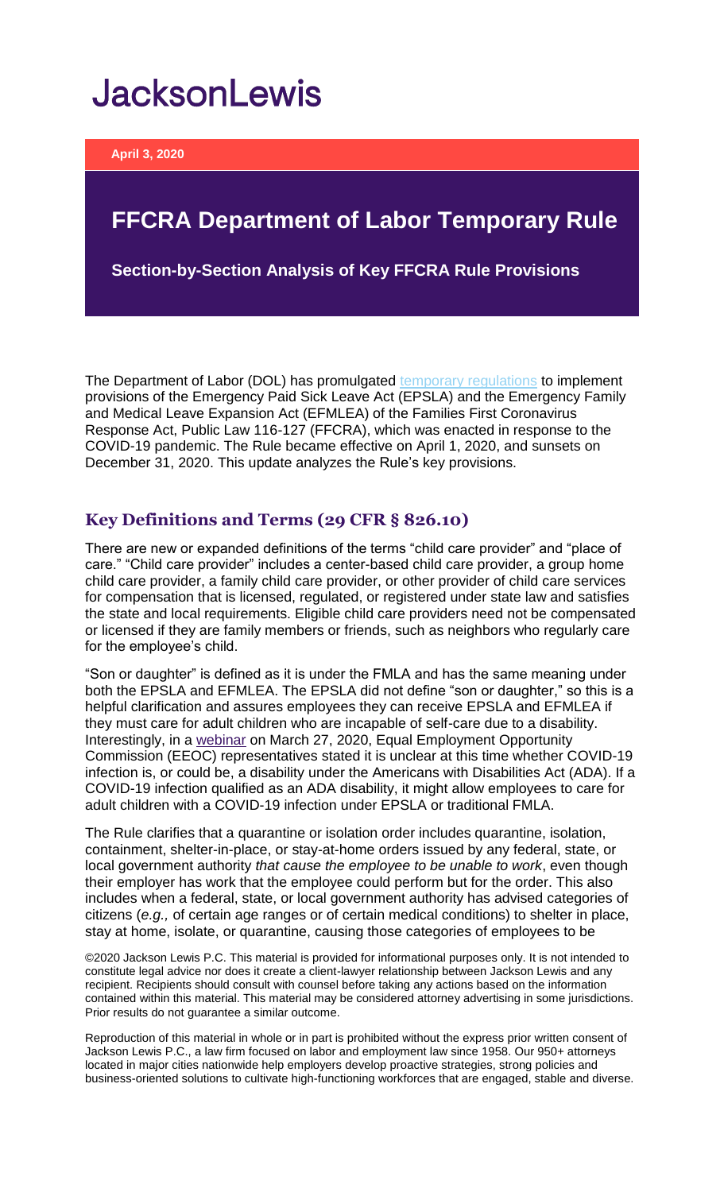# **JacksonLewis**

**April 3, 2020**

## **FFCRA Department of Labor Temporary Rule**

**Section-by-Section Analysis of Key FFCRA Rule Provisions**

The Department of Labor (DOL) has promulgated [temporary regulations](https://www.federalregister.gov/documents/2020/04/06/2020-07237/paid-leave-under-the-families-first-coronavirus-response-act) to implement provisions of the Emergency Paid Sick Leave Act (EPSLA) and the Emergency Family and Medical Leave Expansion Act (EFMLEA) of the Families First Coronavirus Response Act, Public Law 116-127 (FFCRA), which was enacted in response to the COVID-19 pandemic. The Rule became effective on April 1, 2020, and sunsets on December 31, 2020. This update analyzes the Rule's key provisions.

#### **Key Definitions and Terms (29 CFR § 826.10)**

There are new or expanded definitions of the terms "child care provider" and "place of care." "Child care provider" includes a center-based child care provider, a group home child care provider, a family child care provider, or other provider of child care services for compensation that is licensed, regulated, or registered under state law and satisfies the state and local requirements. Eligible child care providers need not be compensated or licensed if they are family members or friends, such as neighbors who regularly care for the employee's child.

"Son or daughter" is defined as it is under the FMLA and has the same meaning under both the EPSLA and EFMLEA. The EPSLA did not define "son or daughter," so this is a helpful clarification and assures employees they can receive EPSLA and EFMLEA if they must care for adult children who are incapable of self-care due to a disability. Interestingly, in a [webinar](https://www.eeoc.gov/eeoc/newsroom/release/3-27-20a.cfm) on March 27, 2020, Equal Employment Opportunity Commission (EEOC) representatives stated it is unclear at this time whether COVID-19 infection is, or could be, a disability under the Americans with Disabilities Act (ADA). If a COVID-19 infection qualified as an ADA disability, it might allow employees to care for adult children with a COVID-19 infection under EPSLA or traditional FMLA.

The Rule clarifies that a quarantine or isolation order includes quarantine, isolation, containment, shelter-in-place, or stay-at-home orders issued by any federal, state, or local government authority *that cause the employee to be unable to work*, even though their employer has work that the employee could perform but for the order. This also includes when a federal, state, or local government authority has advised categories of citizens (*e.g.,* of certain age ranges or of certain medical conditions) to shelter in place, stay at home, isolate, or quarantine, causing those categories of employees to be

©2020 Jackson Lewis P.C. This material is provided for informational purposes only. It is not intended to constitute legal advice nor does it create a client-lawyer relationship between Jackson Lewis and any recipient. Recipients should consult with counsel before taking any actions based on the information contained within this material. This material may be considered attorney advertising in some jurisdictions. Prior results do not guarantee a similar outcome.

Reproduction of this material in whole or in part is prohibited without the express prior written consent of Jackson Lewis P.C., a law firm focused on labor and employment law since 1958. Our 950+ attorneys located in major cities nationwide help employers develop proactive strategies, strong policies and business-oriented solutions to cultivate high-functioning workforces that are engaged, stable and diverse.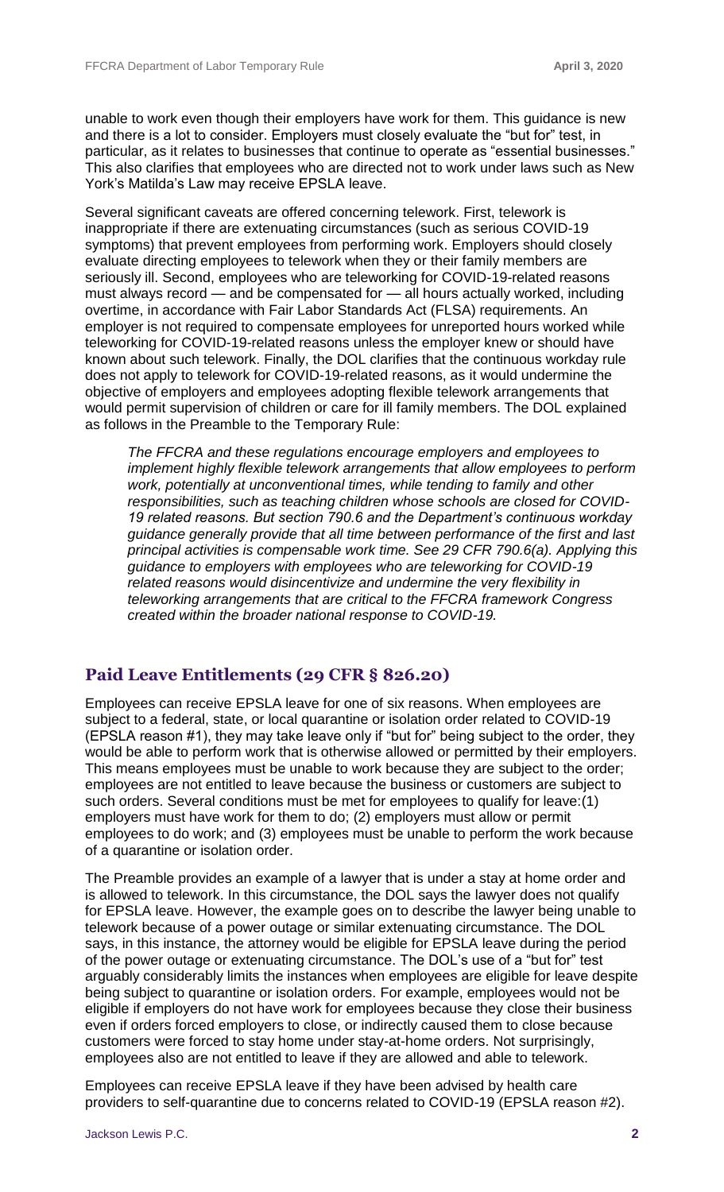unable to work even though their employers have work for them. This guidance is new and there is a lot to consider. Employers must closely evaluate the "but for" test, in particular, as it relates to businesses that continue to operate as "essential businesses." This also clarifies that employees who are directed not to work under laws such as New York's Matilda's Law may receive EPSLA leave.

Several significant caveats are offered concerning telework. First, telework is inappropriate if there are extenuating circumstances (such as serious COVID-19 symptoms) that prevent employees from performing work. Employers should closely evaluate directing employees to telework when they or their family members are seriously ill. Second, employees who are teleworking for COVID-19-related reasons must always record — and be compensated for — all hours actually worked, including overtime, in accordance with Fair Labor Standards Act (FLSA) requirements. An employer is not required to compensate employees for unreported hours worked while teleworking for COVID-19-related reasons unless the employer knew or should have known about such telework. Finally, the DOL clarifies that the continuous workday rule does not apply to telework for COVID-19-related reasons, as it would undermine the objective of employers and employees adopting flexible telework arrangements that would permit supervision of children or care for ill family members. The DOL explained as follows in the Preamble to the Temporary Rule:

*The FFCRA and these regulations encourage employers and employees to implement highly flexible telework arrangements that allow employees to perform work, potentially at unconventional times, while tending to family and other responsibilities, such as teaching children whose schools are closed for COVID-19 related reasons. But section 790.6 and the Department's continuous workday guidance generally provide that all time between performance of the first and last principal activities is compensable work time. See 29 CFR 790.6(a). Applying this guidance to employers with employees who are teleworking for COVID-19 related reasons would disincentivize and undermine the very flexibility in teleworking arrangements that are critical to the FFCRA framework Congress created within the broader national response to COVID-19.*

#### **Paid Leave Entitlements (29 CFR § 826.20)**

Employees can receive EPSLA leave for one of six reasons. When employees are subject to a federal, state, or local quarantine or isolation order related to COVID-19 (EPSLA reason #1), they may take leave only if "but for" being subject to the order, they would be able to perform work that is otherwise allowed or permitted by their employers. This means employees must be unable to work because they are subject to the order; employees are not entitled to leave because the business or customers are subject to such orders. Several conditions must be met for employees to qualify for leave:(1) employers must have work for them to do; (2) employers must allow or permit employees to do work; and (3) employees must be unable to perform the work because of a quarantine or isolation order.

The Preamble provides an example of a lawyer that is under a stay at home order and is allowed to telework. In this circumstance, the DOL says the lawyer does not qualify for EPSLA leave. However, the example goes on to describe the lawyer being unable to telework because of a power outage or similar extenuating circumstance. The DOL says, in this instance, the attorney would be eligible for EPSLA leave during the period of the power outage or extenuating circumstance. The DOL's use of a "but for" test arguably considerably limits the instances when employees are eligible for leave despite being subject to quarantine or isolation orders. For example, employees would not be eligible if employers do not have work for employees because they close their business even if orders forced employers to close, or indirectly caused them to close because customers were forced to stay home under stay-at-home orders. Not surprisingly, employees also are not entitled to leave if they are allowed and able to telework.

Employees can receive EPSLA leave if they have been advised by health care providers to self-quarantine due to concerns related to COVID-19 (EPSLA reason #2).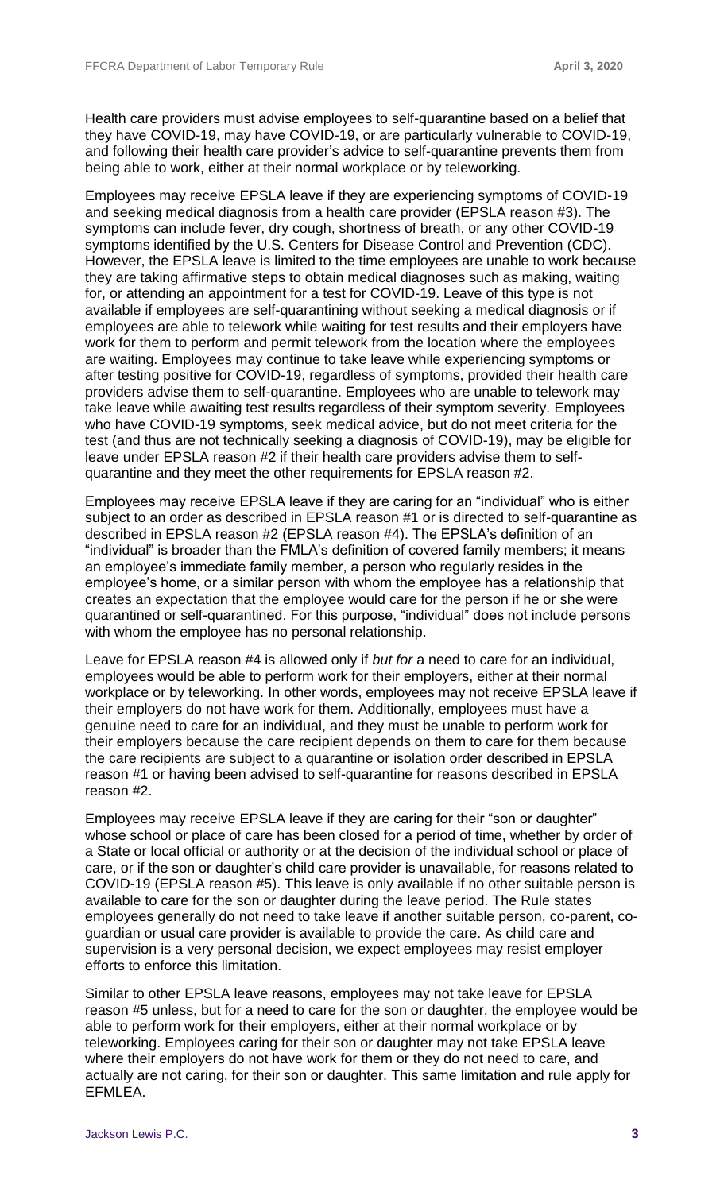Health care providers must advise employees to self-quarantine based on a belief that they have COVID-19, may have COVID-19, or are particularly vulnerable to COVID-19, and following their health care provider's advice to self-quarantine prevents them from being able to work, either at their normal workplace or by teleworking.

Employees may receive EPSLA leave if they are experiencing symptoms of COVID-19 and seeking medical diagnosis from a health care provider (EPSLA reason #3). The symptoms can include fever, dry cough, shortness of breath, or any other COVID-19 symptoms identified by the U.S. Centers for Disease Control and Prevention (CDC). However, the EPSLA leave is limited to the time employees are unable to work because they are taking affirmative steps to obtain medical diagnoses such as making, waiting for, or attending an appointment for a test for COVID-19. Leave of this type is not available if employees are self-quarantining without seeking a medical diagnosis or if employees are able to telework while waiting for test results and their employers have work for them to perform and permit telework from the location where the employees are waiting. Employees may continue to take leave while experiencing symptoms or after testing positive for COVID-19, regardless of symptoms, provided their health care providers advise them to self-quarantine. Employees who are unable to telework may take leave while awaiting test results regardless of their symptom severity. Employees who have COVID-19 symptoms, seek medical advice, but do not meet criteria for the test (and thus are not technically seeking a diagnosis of COVID-19), may be eligible for leave under EPSLA reason #2 if their health care providers advise them to selfquarantine and they meet the other requirements for EPSLA reason #2.

Employees may receive EPSLA leave if they are caring for an "individual" who is either subject to an order as described in EPSLA reason #1 or is directed to self-quarantine as described in EPSLA reason #2 (EPSLA reason #4). The EPSLA's definition of an "individual" is broader than the FMLA's definition of covered family members; it means an employee's immediate family member, a person who regularly resides in the employee's home, or a similar person with whom the employee has a relationship that creates an expectation that the employee would care for the person if he or she were quarantined or self-quarantined. For this purpose, "individual" does not include persons with whom the employee has no personal relationship.

Leave for EPSLA reason #4 is allowed only if *but for* a need to care for an individual, employees would be able to perform work for their employers, either at their normal workplace or by teleworking. In other words, employees may not receive EPSLA leave if their employers do not have work for them. Additionally, employees must have a genuine need to care for an individual, and they must be unable to perform work for their employers because the care recipient depends on them to care for them because the care recipients are subject to a quarantine or isolation order described in EPSLA reason #1 or having been advised to self-quarantine for reasons described in EPSLA reason #2.

Employees may receive EPSLA leave if they are caring for their "son or daughter" whose school or place of care has been closed for a period of time, whether by order of a State or local official or authority or at the decision of the individual school or place of care, or if the son or daughter's child care provider is unavailable, for reasons related to COVID-19 (EPSLA reason #5). This leave is only available if no other suitable person is available to care for the son or daughter during the leave period. The Rule states employees generally do not need to take leave if another suitable person, co-parent, coguardian or usual care provider is available to provide the care. As child care and supervision is a very personal decision, we expect employees may resist employer efforts to enforce this limitation.

Similar to other EPSLA leave reasons, employees may not take leave for EPSLA reason #5 unless, but for a need to care for the son or daughter, the employee would be able to perform work for their employers, either at their normal workplace or by teleworking. Employees caring for their son or daughter may not take EPSLA leave where their employers do not have work for them or they do not need to care, and actually are not caring, for their son or daughter. This same limitation and rule apply for EFMLEA.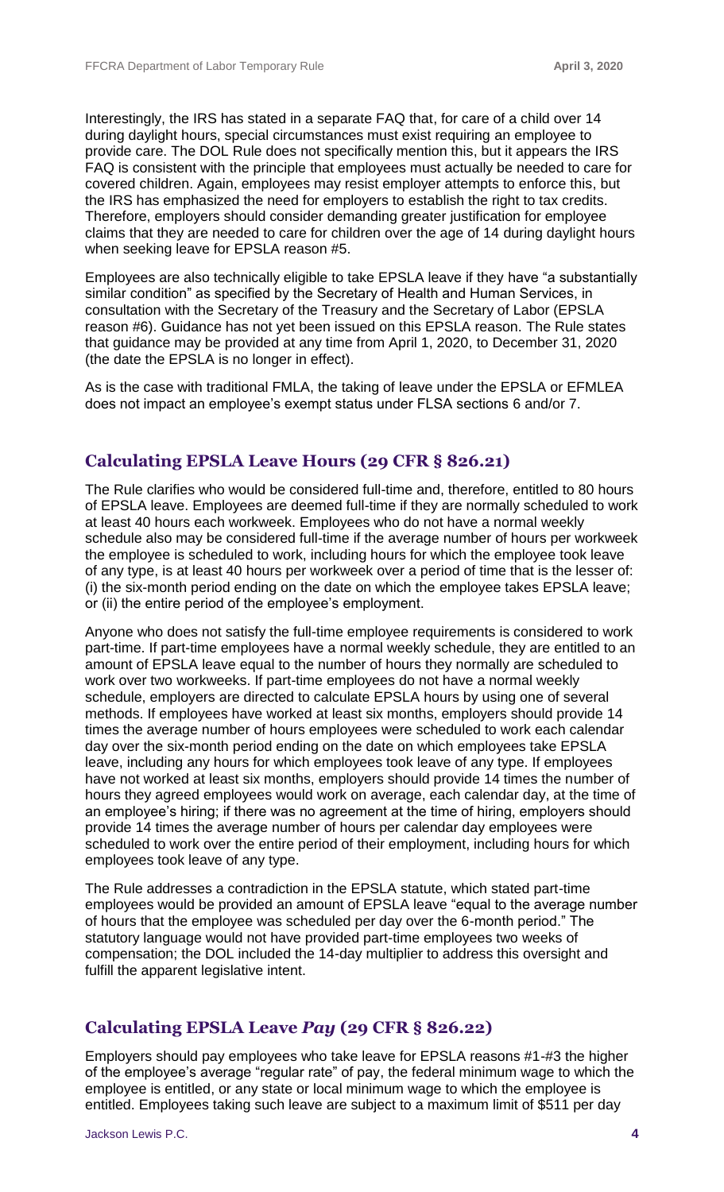Interestingly, the IRS has stated in a separate FAQ that, for care of a child over 14 during daylight hours, special circumstances must exist requiring an employee to provide care. The DOL Rule does not specifically mention this, but it appears the IRS FAQ is consistent with the principle that employees must actually be needed to care for covered children. Again, employees may resist employer attempts to enforce this, but the IRS has emphasized the need for employers to establish the right to tax credits. Therefore, employers should consider demanding greater justification for employee claims that they are needed to care for children over the age of 14 during daylight hours when seeking leave for EPSLA reason #5.

Employees are also technically eligible to take EPSLA leave if they have "a substantially similar condition" as specified by the Secretary of Health and Human Services, in consultation with the Secretary of the Treasury and the Secretary of Labor (EPSLA reason #6). Guidance has not yet been issued on this EPSLA reason. The Rule states that guidance may be provided at any time from April 1, 2020, to December 31, 2020 (the date the EPSLA is no longer in effect).

As is the case with traditional FMLA, the taking of leave under the EPSLA or EFMLEA does not impact an employee's exempt status under FLSA sections 6 and/or 7.

#### **Calculating EPSLA Leave Hours (29 CFR § 826.21)**

The Rule clarifies who would be considered full-time and, therefore, entitled to 80 hours of EPSLA leave. Employees are deemed full-time if they are normally scheduled to work at least 40 hours each workweek. Employees who do not have a normal weekly schedule also may be considered full-time if the average number of hours per workweek the employee is scheduled to work, including hours for which the employee took leave of any type, is at least 40 hours per workweek over a period of time that is the lesser of: (i) the six-month period ending on the date on which the employee takes EPSLA leave; or (ii) the entire period of the employee's employment.

Anyone who does not satisfy the full-time employee requirements is considered to work part-time. If part-time employees have a normal weekly schedule, they are entitled to an amount of EPSLA leave equal to the number of hours they normally are scheduled to work over two workweeks. If part-time employees do not have a normal weekly schedule, employers are directed to calculate EPSLA hours by using one of several methods. If employees have worked at least six months, employers should provide 14 times the average number of hours employees were scheduled to work each calendar day over the six-month period ending on the date on which employees take EPSLA leave, including any hours for which employees took leave of any type. If employees have not worked at least six months, employers should provide 14 times the number of hours they agreed employees would work on average, each calendar day, at the time of an employee's hiring; if there was no agreement at the time of hiring, employers should provide 14 times the average number of hours per calendar day employees were scheduled to work over the entire period of their employment, including hours for which employees took leave of any type.

The Rule addresses a contradiction in the EPSLA statute, which stated part-time employees would be provided an amount of EPSLA leave "equal to the average number of hours that the employee was scheduled per day over the 6-month period." The statutory language would not have provided part-time employees two weeks of compensation; the DOL included the 14-day multiplier to address this oversight and fulfill the apparent legislative intent.

#### **Calculating EPSLA Leave** *Pay* **(29 CFR § 826.22)**

Employers should pay employees who take leave for EPSLA reasons #1-#3 the higher of the employee's average "regular rate" of pay, the federal minimum wage to which the employee is entitled, or any state or local minimum wage to which the employee is entitled. Employees taking such leave are subject to a maximum limit of \$511 per day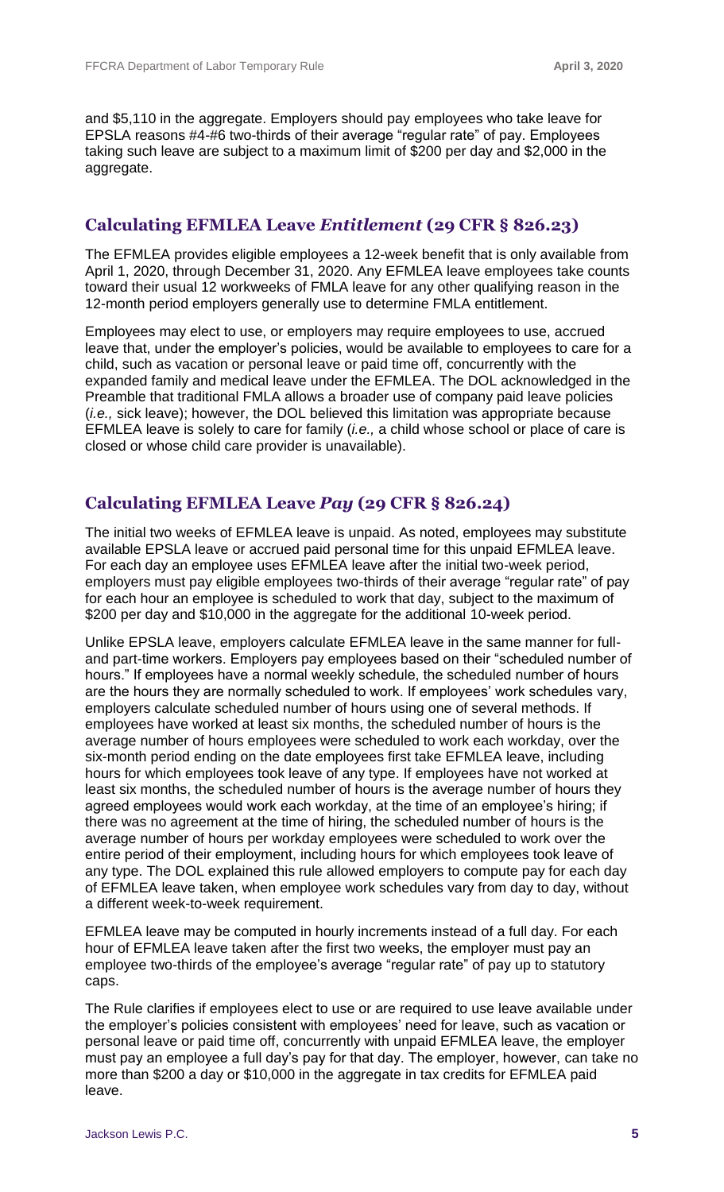and \$5,110 in the aggregate. Employers should pay employees who take leave for EPSLA reasons #4-#6 two-thirds of their average "regular rate" of pay. Employees taking such leave are subject to a maximum limit of \$200 per day and \$2,000 in the aggregate.

#### **Calculating EFMLEA Leave** *Entitlement* **(29 CFR § 826.23)**

The EFMLEA provides eligible employees a 12-week benefit that is only available from April 1, 2020, through December 31, 2020. Any EFMLEA leave employees take counts toward their usual 12 workweeks of FMLA leave for any other qualifying reason in the 12-month period employers generally use to determine FMLA entitlement.

Employees may elect to use, or employers may require employees to use, accrued leave that, under the employer's policies, would be available to employees to care for a child, such as vacation or personal leave or paid time off, concurrently with the expanded family and medical leave under the EFMLEA. The DOL acknowledged in the Preamble that traditional FMLA allows a broader use of company paid leave policies (*i.e.,* sick leave); however, the DOL believed this limitation was appropriate because EFMLEA leave is solely to care for family (*i.e.,* a child whose school or place of care is closed or whose child care provider is unavailable).

#### **Calculating EFMLEA Leave** *Pay* **(29 CFR § 826.24)**

The initial two weeks of EFMLEA leave is unpaid. As noted, employees may substitute available EPSLA leave or accrued paid personal time for this unpaid EFMLEA leave. For each day an employee uses EFMLEA leave after the initial two-week period, employers must pay eligible employees two-thirds of their average "regular rate" of pay for each hour an employee is scheduled to work that day, subject to the maximum of \$200 per day and \$10,000 in the aggregate for the additional 10-week period.

Unlike EPSLA leave, employers calculate EFMLEA leave in the same manner for fulland part-time workers. Employers pay employees based on their "scheduled number of hours." If employees have a normal weekly schedule, the scheduled number of hours are the hours they are normally scheduled to work. If employees' work schedules vary, employers calculate scheduled number of hours using one of several methods. If employees have worked at least six months, the scheduled number of hours is the average number of hours employees were scheduled to work each workday, over the six-month period ending on the date employees first take EFMLEA leave, including hours for which employees took leave of any type. If employees have not worked at least six months, the scheduled number of hours is the average number of hours they agreed employees would work each workday, at the time of an employee's hiring; if there was no agreement at the time of hiring, the scheduled number of hours is the average number of hours per workday employees were scheduled to work over the entire period of their employment, including hours for which employees took leave of any type. The DOL explained this rule allowed employers to compute pay for each day of EFMLEA leave taken, when employee work schedules vary from day to day, without a different week-to-week requirement.

EFMLEA leave may be computed in hourly increments instead of a full day. For each hour of EFMLEA leave taken after the first two weeks, the employer must pay an employee two-thirds of the employee's average "regular rate" of pay up to statutory caps.

The Rule clarifies if employees elect to use or are required to use leave available under the employer's policies consistent with employees' need for leave, such as vacation or personal leave or paid time off, concurrently with unpaid EFMLEA leave, the employer must pay an employee a full day's pay for that day. The employer, however, can take no more than \$200 a day or \$10,000 in the aggregate in tax credits for EFMLEA paid leave.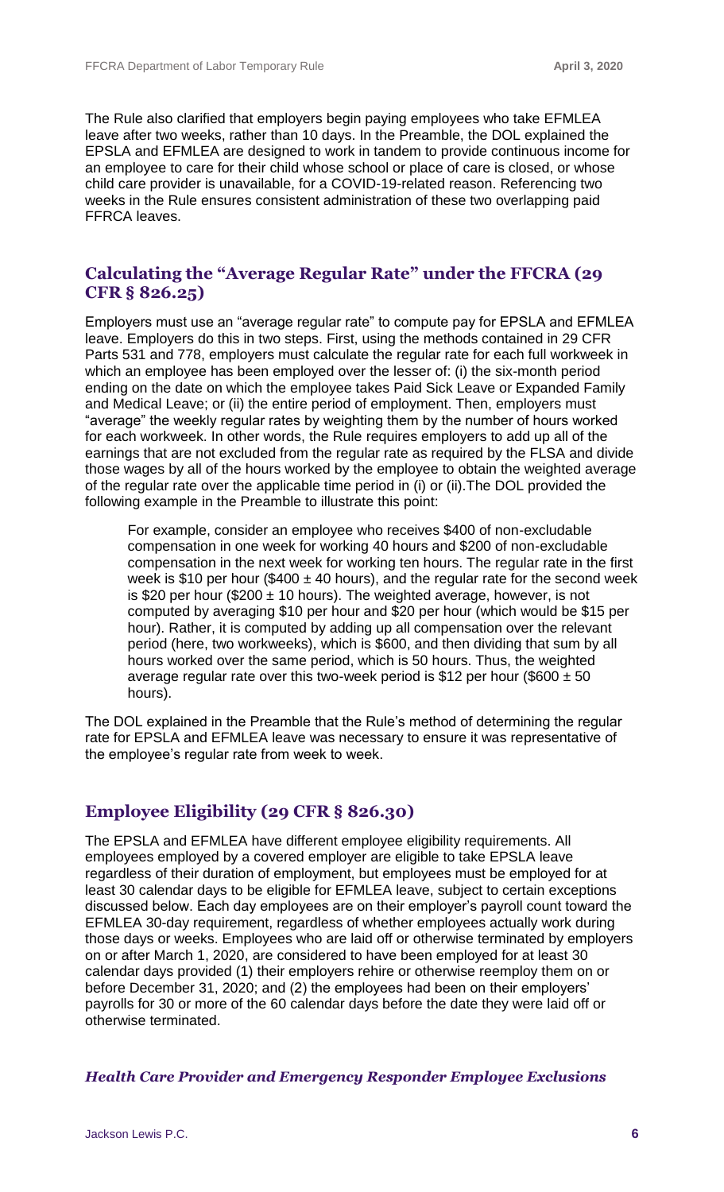The Rule also clarified that employers begin paying employees who take EFMLEA leave after two weeks, rather than 10 days. In the Preamble, the DOL explained the EPSLA and EFMLEA are designed to work in tandem to provide continuous income for an employee to care for their child whose school or place of care is closed, or whose child care provider is unavailable, for a COVID-19-related reason. Referencing two weeks in the Rule ensures consistent administration of these two overlapping paid FFRCA leaves.

#### **Calculating the "Average Regular Rate" under the FFCRA (29 CFR § 826.25)**

Employers must use an "average regular rate" to compute pay for EPSLA and EFMLEA leave. Employers do this in two steps. First, using the methods contained in 29 CFR Parts 531 and 778, employers must calculate the regular rate for each full workweek in which an employee has been employed over the lesser of: (i) the six-month period ending on the date on which the employee takes Paid Sick Leave or Expanded Family and Medical Leave; or (ii) the entire period of employment. Then, employers must "average" the weekly regular rates by weighting them by the number of hours worked for each workweek. In other words, the Rule requires employers to add up all of the earnings that are not excluded from the regular rate as required by the FLSA and divide those wages by all of the hours worked by the employee to obtain the weighted average of the regular rate over the applicable time period in (i) or (ii).The DOL provided the following example in the Preamble to illustrate this point:

For example, consider an employee who receives \$400 of non-excludable compensation in one week for working 40 hours and \$200 of non-excludable compensation in the next week for working ten hours. The regular rate in the first week is \$10 per hour (\$400  $\pm$  40 hours), and the regular rate for the second week is \$20 per hour (\$200  $\pm$  10 hours). The weighted average, however, is not computed by averaging \$10 per hour and \$20 per hour (which would be \$15 per hour). Rather, it is computed by adding up all compensation over the relevant period (here, two workweeks), which is \$600, and then dividing that sum by all hours worked over the same period, which is 50 hours. Thus, the weighted average regular rate over this two-week period is \$12 per hour (\$600  $\pm$  50 hours).

The DOL explained in the Preamble that the Rule's method of determining the regular rate for EPSLA and EFMLEA leave was necessary to ensure it was representative of the employee's regular rate from week to week.

#### **Employee Eligibility (29 CFR § 826.30)**

The EPSLA and EFMLEA have different employee eligibility requirements. All employees employed by a covered employer are eligible to take EPSLA leave regardless of their duration of employment, but employees must be employed for at least 30 calendar days to be eligible for EFMLEA leave, subject to certain exceptions discussed below. Each day employees are on their employer's payroll count toward the EFMLEA 30-day requirement, regardless of whether employees actually work during those days or weeks. Employees who are laid off or otherwise terminated by employers on or after March 1, 2020, are considered to have been employed for at least 30 calendar days provided (1) their employers rehire or otherwise reemploy them on or before December 31, 2020; and (2) the employees had been on their employers' payrolls for 30 or more of the 60 calendar days before the date they were laid off or otherwise terminated.

*Health Care Provider and Emergency Responder Employee Exclusions*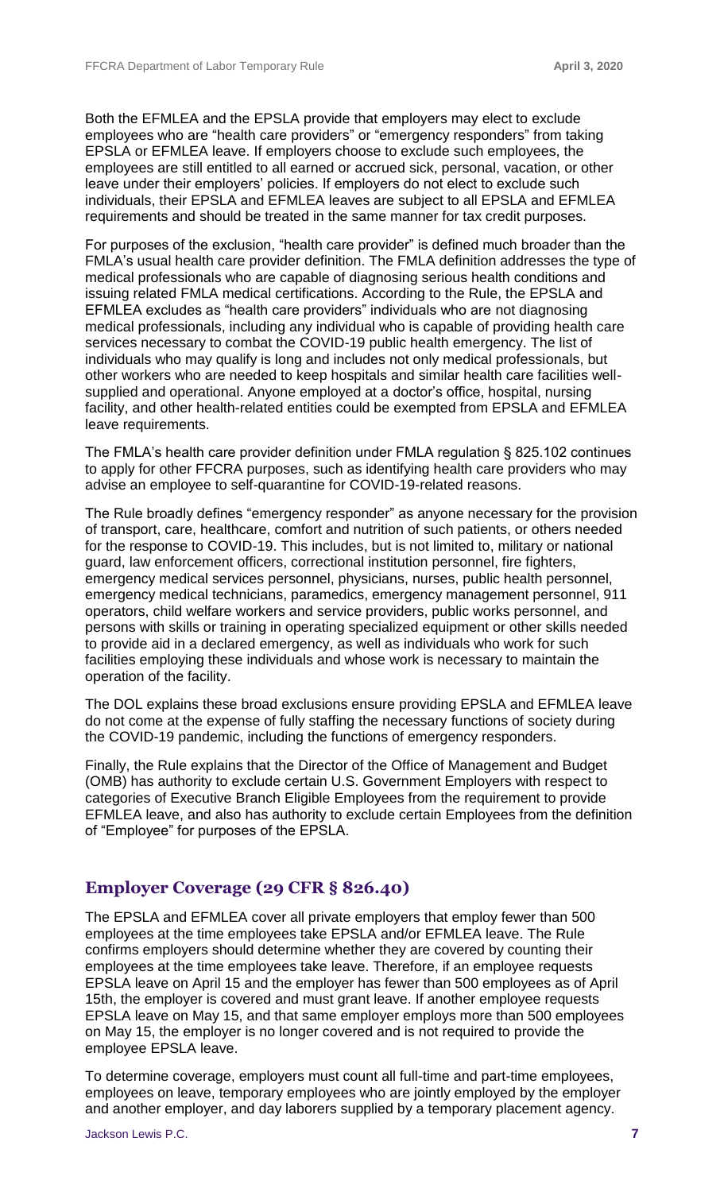Both the EFMLEA and the EPSLA provide that employers may elect to exclude employees who are "health care providers" or "emergency responders" from taking EPSLA or EFMLEA leave. If employers choose to exclude such employees, the employees are still entitled to all earned or accrued sick, personal, vacation, or other leave under their employers' policies. If employers do not elect to exclude such individuals, their EPSLA and EFMLEA leaves are subject to all EPSLA and EFMLEA requirements and should be treated in the same manner for tax credit purposes.

For purposes of the exclusion, "health care provider" is defined much broader than the FMLA's usual health care provider definition. The FMLA definition addresses the type of medical professionals who are capable of diagnosing serious health conditions and issuing related FMLA medical certifications. According to the Rule, the EPSLA and EFMLEA excludes as "health care providers" individuals who are not diagnosing medical professionals, including any individual who is capable of providing health care services necessary to combat the COVID-19 public health emergency. The list of individuals who may qualify is long and includes not only medical professionals, but other workers who are needed to keep hospitals and similar health care facilities wellsupplied and operational. Anyone employed at a doctor's office, hospital, nursing facility, and other health-related entities could be exempted from EPSLA and EFMLEA leave requirements.

The FMLA's health care provider definition under FMLA regulation § 825.102 continues to apply for other FFCRA purposes, such as identifying health care providers who may advise an employee to self-quarantine for COVID-19-related reasons.

The Rule broadly defines "emergency responder" as anyone necessary for the provision of transport, care, healthcare, comfort and nutrition of such patients, or others needed for the response to COVID-19. This includes, but is not limited to, military or national guard, law enforcement officers, correctional institution personnel, fire fighters, emergency medical services personnel, physicians, nurses, public health personnel, emergency medical technicians, paramedics, emergency management personnel, 911 operators, child welfare workers and service providers, public works personnel, and persons with skills or training in operating specialized equipment or other skills needed to provide aid in a declared emergency, as well as individuals who work for such facilities employing these individuals and whose work is necessary to maintain the operation of the facility.

The DOL explains these broad exclusions ensure providing EPSLA and EFMLEA leave do not come at the expense of fully staffing the necessary functions of society during the COVID-19 pandemic, including the functions of emergency responders.

Finally, the Rule explains that the Director of the Office of Management and Budget (OMB) has authority to exclude certain U.S. Government Employers with respect to categories of Executive Branch Eligible Employees from the requirement to provide EFMLEA leave, and also has authority to exclude certain Employees from the definition of "Employee" for purposes of the EPSLA.

#### **Employer Coverage (29 CFR § 826.40)**

The EPSLA and EFMLEA cover all private employers that employ fewer than 500 employees at the time employees take EPSLA and/or EFMLEA leave. The Rule confirms employers should determine whether they are covered by counting their employees at the time employees take leave. Therefore, if an employee requests EPSLA leave on April 15 and the employer has fewer than 500 employees as of April 15th, the employer is covered and must grant leave. If another employee requests EPSLA leave on May 15, and that same employer employs more than 500 employees on May 15, the employer is no longer covered and is not required to provide the employee EPSLA leave.

To determine coverage, employers must count all full-time and part-time employees, employees on leave, temporary employees who are jointly employed by the employer and another employer, and day laborers supplied by a temporary placement agency.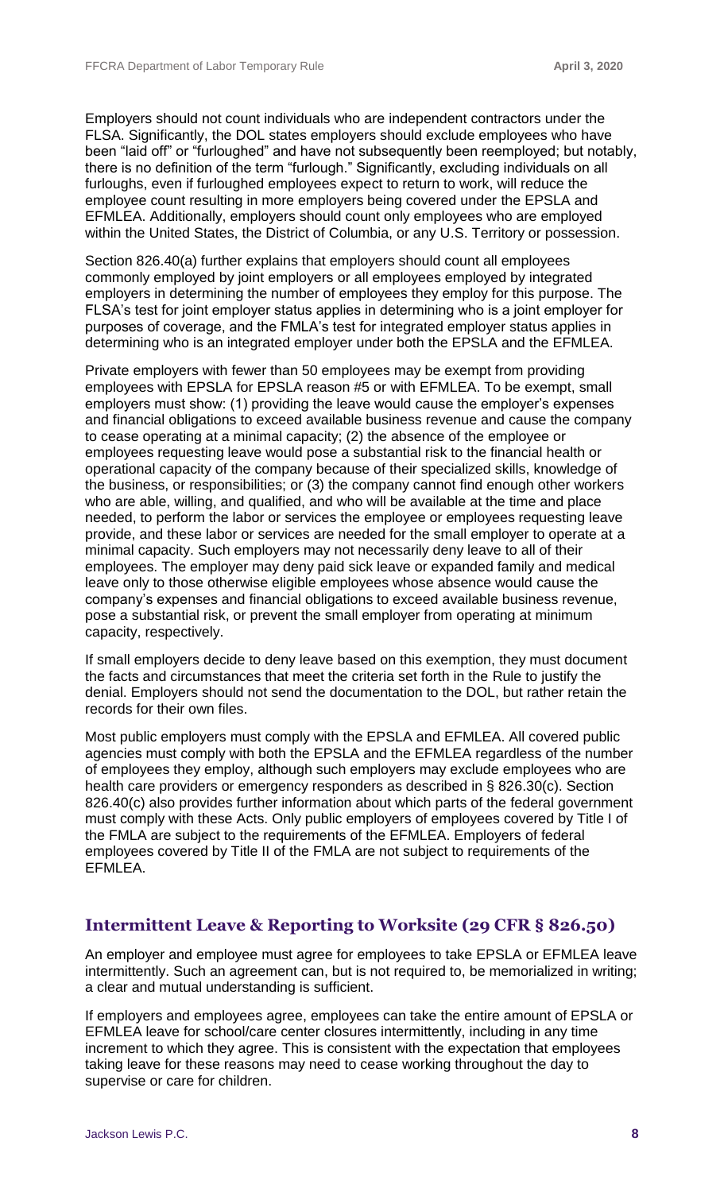Employers should not count individuals who are independent contractors under the FLSA. Significantly, the DOL states employers should exclude employees who have been "laid off" or "furloughed" and have not subsequently been reemployed; but notably, there is no definition of the term "furlough." Significantly, excluding individuals on all furloughs, even if furloughed employees expect to return to work, will reduce the employee count resulting in more employers being covered under the EPSLA and EFMLEA. Additionally, employers should count only employees who are employed within the United States, the District of Columbia, or any U.S. Territory or possession.

Section 826.40(a) further explains that employers should count all employees commonly employed by joint employers or all employees employed by integrated employers in determining the number of employees they employ for this purpose. The FLSA's test for joint employer status applies in determining who is a joint employer for purposes of coverage, and the FMLA's test for integrated employer status applies in determining who is an integrated employer under both the EPSLA and the EFMLEA.

Private employers with fewer than 50 employees may be exempt from providing employees with EPSLA for EPSLA reason #5 or with EFMLEA. To be exempt, small employers must show: (1) providing the leave would cause the employer's expenses and financial obligations to exceed available business revenue and cause the company to cease operating at a minimal capacity; (2) the absence of the employee or employees requesting leave would pose a substantial risk to the financial health or operational capacity of the company because of their specialized skills, knowledge of the business, or responsibilities; or (3) the company cannot find enough other workers who are able, willing, and qualified, and who will be available at the time and place needed, to perform the labor or services the employee or employees requesting leave provide, and these labor or services are needed for the small employer to operate at a minimal capacity. Such employers may not necessarily deny leave to all of their employees. The employer may deny paid sick leave or expanded family and medical leave only to those otherwise eligible employees whose absence would cause the company's expenses and financial obligations to exceed available business revenue, pose a substantial risk, or prevent the small employer from operating at minimum capacity, respectively.

If small employers decide to deny leave based on this exemption, they must document the facts and circumstances that meet the criteria set forth in the Rule to justify the denial. Employers should not send the documentation to the DOL, but rather retain the records for their own files.

Most public employers must comply with the EPSLA and EFMLEA. All covered public agencies must comply with both the EPSLA and the EFMLEA regardless of the number of employees they employ, although such employers may exclude employees who are health care providers or emergency responders as described in § 826.30(c). Section 826.40(c) also provides further information about which parts of the federal government must comply with these Acts. Only public employers of employees covered by Title I of the FMLA are subject to the requirements of the EFMLEA. Employers of federal employees covered by Title II of the FMLA are not subject to requirements of the EFMLEA.

#### **Intermittent Leave & Reporting to Worksite (29 CFR § 826.50)**

An employer and employee must agree for employees to take EPSLA or EFMLEA leave intermittently. Such an agreement can, but is not required to, be memorialized in writing; a clear and mutual understanding is sufficient.

If employers and employees agree, employees can take the entire amount of EPSLA or EFMLEA leave for school/care center closures intermittently, including in any time increment to which they agree. This is consistent with the expectation that employees taking leave for these reasons may need to cease working throughout the day to supervise or care for children.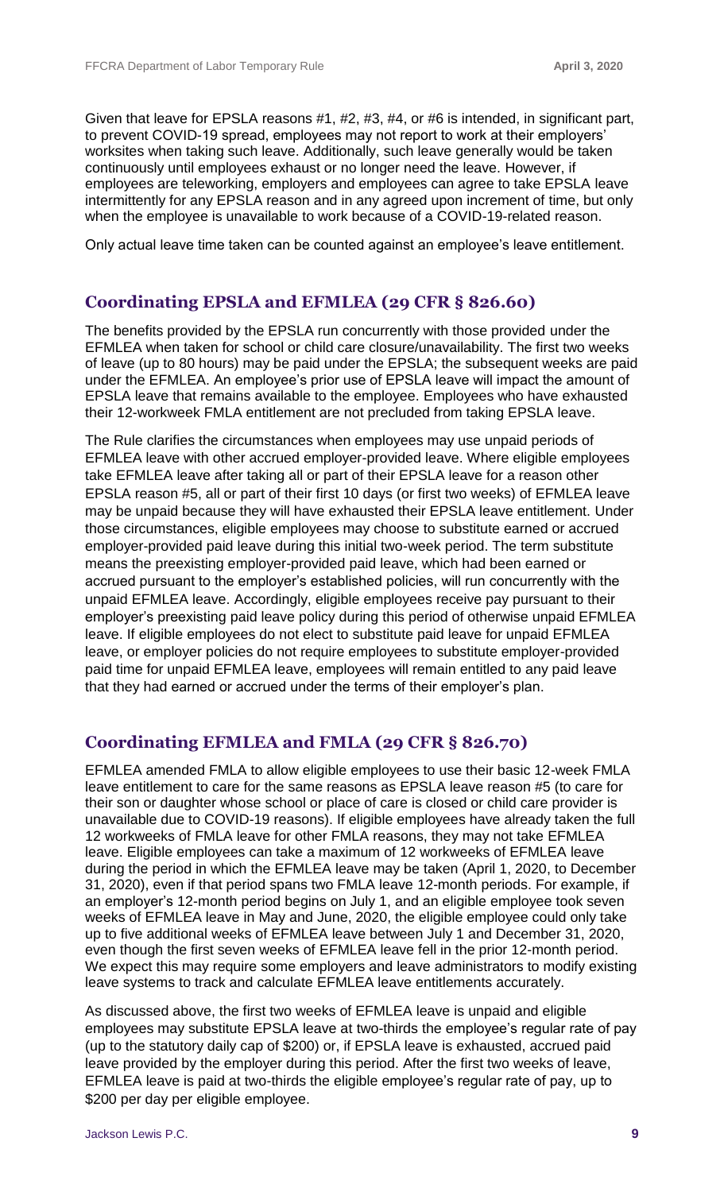Given that leave for EPSLA reasons #1, #2, #3, #4, or #6 is intended, in significant part, to prevent COVID-19 spread, employees may not report to work at their employers' worksites when taking such leave. Additionally, such leave generally would be taken continuously until employees exhaust or no longer need the leave. However, if employees are teleworking, employers and employees can agree to take EPSLA leave intermittently for any EPSLA reason and in any agreed upon increment of time, but only when the employee is unavailable to work because of a COVID-19-related reason.

Only actual leave time taken can be counted against an employee's leave entitlement.

#### **Coordinating EPSLA and EFMLEA (29 CFR § 826.60)**

The benefits provided by the EPSLA run concurrently with those provided under the EFMLEA when taken for school or child care closure/unavailability. The first two weeks of leave (up to 80 hours) may be paid under the EPSLA; the subsequent weeks are paid under the EFMLEA. An employee's prior use of EPSLA leave will impact the amount of EPSLA leave that remains available to the employee. Employees who have exhausted their 12-workweek FMLA entitlement are not precluded from taking EPSLA leave.

The Rule clarifies the circumstances when employees may use unpaid periods of EFMLEA leave with other accrued employer-provided leave. Where eligible employees take EFMLEA leave after taking all or part of their EPSLA leave for a reason other EPSLA reason #5, all or part of their first 10 days (or first two weeks) of EFMLEA leave may be unpaid because they will have exhausted their EPSLA leave entitlement. Under those circumstances, eligible employees may choose to substitute earned or accrued employer-provided paid leave during this initial two-week period. The term substitute means the preexisting employer-provided paid leave, which had been earned or accrued pursuant to the employer's established policies, will run concurrently with the unpaid EFMLEA leave. Accordingly, eligible employees receive pay pursuant to their employer's preexisting paid leave policy during this period of otherwise unpaid EFMLEA leave. If eligible employees do not elect to substitute paid leave for unpaid EFMLEA leave, or employer policies do not require employees to substitute employer-provided paid time for unpaid EFMLEA leave, employees will remain entitled to any paid leave that they had earned or accrued under the terms of their employer's plan.

#### **Coordinating EFMLEA and FMLA (29 CFR § 826.70)**

EFMLEA amended FMLA to allow eligible employees to use their basic 12-week FMLA leave entitlement to care for the same reasons as EPSLA leave reason #5 (to care for their son or daughter whose school or place of care is closed or child care provider is unavailable due to COVID-19 reasons). If eligible employees have already taken the full 12 workweeks of FMLA leave for other FMLA reasons, they may not take EFMLEA leave. Eligible employees can take a maximum of 12 workweeks of EFMLEA leave during the period in which the EFMLEA leave may be taken (April 1, 2020, to December 31, 2020), even if that period spans two FMLA leave 12-month periods. For example, if an employer's 12-month period begins on July 1, and an eligible employee took seven weeks of EFMLEA leave in May and June, 2020, the eligible employee could only take up to five additional weeks of EFMLEA leave between July 1 and December 31, 2020, even though the first seven weeks of EFMLEA leave fell in the prior 12-month period. We expect this may require some employers and leave administrators to modify existing leave systems to track and calculate EFMLEA leave entitlements accurately.

As discussed above, the first two weeks of EFMLEA leave is unpaid and eligible employees may substitute EPSLA leave at two-thirds the employee's regular rate of pay (up to the statutory daily cap of \$200) or, if EPSLA leave is exhausted, accrued paid leave provided by the employer during this period. After the first two weeks of leave, EFMLEA leave is paid at two-thirds the eligible employee's regular rate of pay, up to \$200 per day per eligible employee.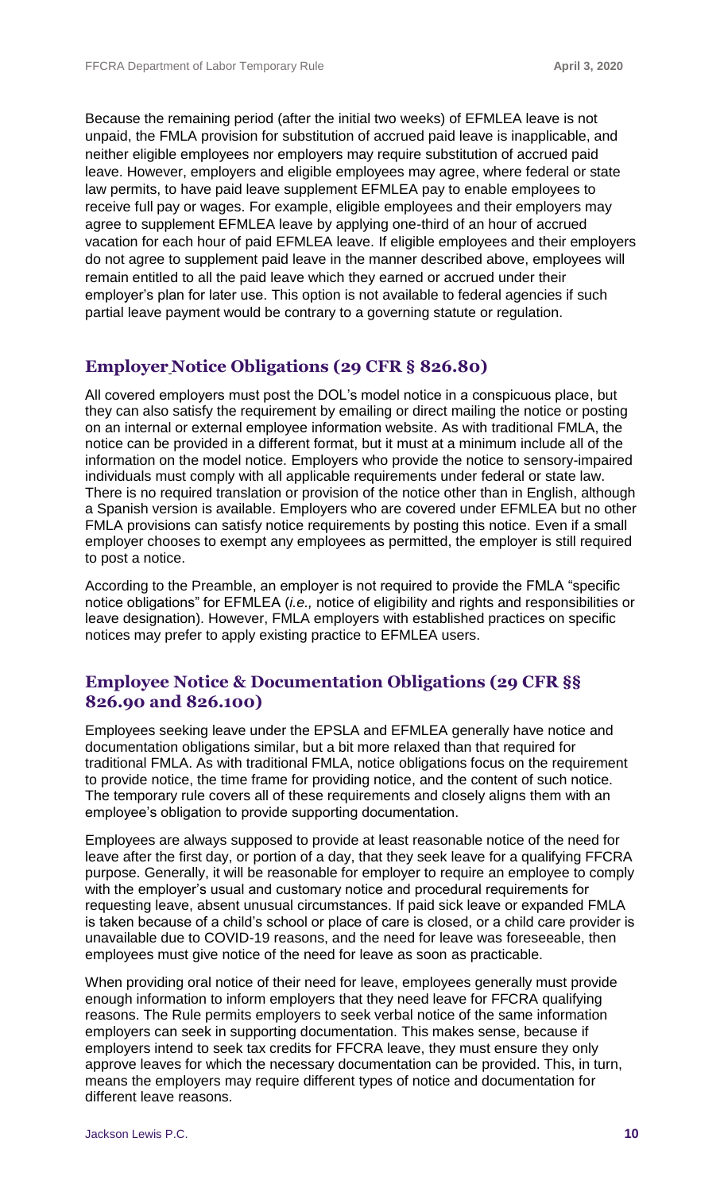Because the remaining period (after the initial two weeks) of EFMLEA leave is not unpaid, the FMLA provision for substitution of accrued paid leave is inapplicable, and neither eligible employees nor employers may require substitution of accrued paid leave. However, employers and eligible employees may agree, where federal or state law permits, to have paid leave supplement EFMLEA pay to enable employees to receive full pay or wages. For example, eligible employees and their employers may agree to supplement EFMLEA leave by applying one-third of an hour of accrued vacation for each hour of paid EFMLEA leave. If eligible employees and their employers do not agree to supplement paid leave in the manner described above, employees will remain entitled to all the paid leave which they earned or accrued under their employer's plan for later use. This option is not available to federal agencies if such partial leave payment would be contrary to a governing statute or regulation.

#### **Employer Notice Obligations (29 CFR § 826.80)**

All covered employers must post the DOL's model notice in a conspicuous place, but they can also satisfy the requirement by emailing or direct mailing the notice or posting on an internal or external employee information website. As with traditional FMLA, the notice can be provided in a different format, but it must at a minimum include all of the information on the model notice. Employers who provide the notice to sensory-impaired individuals must comply with all applicable requirements under federal or state law. There is no required translation or provision of the notice other than in English, although a Spanish version is available. Employers who are covered under EFMLEA but no other FMLA provisions can satisfy notice requirements by posting this notice. Even if a small employer chooses to exempt any employees as permitted, the employer is still required to post a notice.

According to the Preamble, an employer is not required to provide the FMLA "specific notice obligations" for EFMLEA (*i.e.,* notice of eligibility and rights and responsibilities or leave designation). However, FMLA employers with established practices on specific notices may prefer to apply existing practice to EFMLEA users.

#### **Employee Notice & Documentation Obligations (29 CFR §§ 826.90 and 826.100)**

Employees seeking leave under the EPSLA and EFMLEA generally have notice and documentation obligations similar, but a bit more relaxed than that required for traditional FMLA. As with traditional FMLA, notice obligations focus on the requirement to provide notice, the time frame for providing notice, and the content of such notice. The temporary rule covers all of these requirements and closely aligns them with an employee's obligation to provide supporting documentation.

Employees are always supposed to provide at least reasonable notice of the need for leave after the first day, or portion of a day, that they seek leave for a qualifying FFCRA purpose. Generally, it will be reasonable for employer to require an employee to comply with the employer's usual and customary notice and procedural requirements for requesting leave, absent unusual circumstances. If paid sick leave or expanded FMLA is taken because of a child's school or place of care is closed, or a child care provider is unavailable due to COVID-19 reasons, and the need for leave was foreseeable, then employees must give notice of the need for leave as soon as practicable.

When providing oral notice of their need for leave, employees generally must provide enough information to inform employers that they need leave for FFCRA qualifying reasons. The Rule permits employers to seek verbal notice of the same information employers can seek in supporting documentation. This makes sense, because if employers intend to seek tax credits for FFCRA leave, they must ensure they only approve leaves for which the necessary documentation can be provided. This, in turn, means the employers may require different types of notice and documentation for different leave reasons.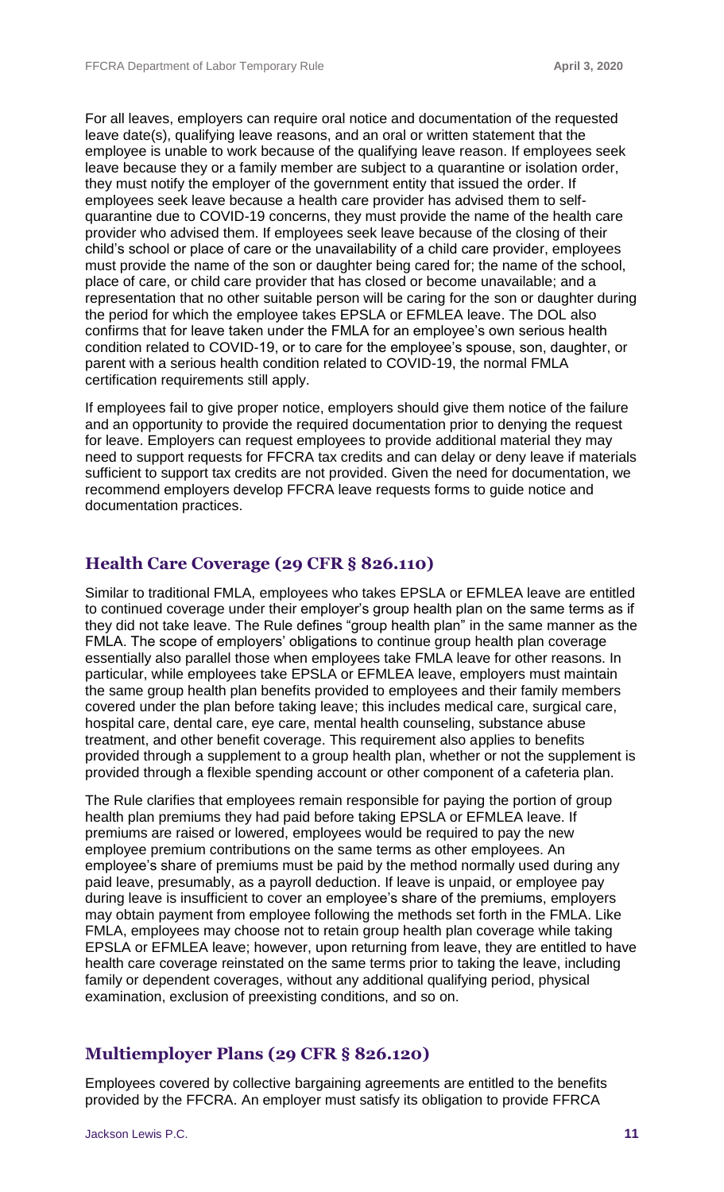For all leaves, employers can require oral notice and documentation of the requested leave date(s), qualifying leave reasons, and an oral or written statement that the employee is unable to work because of the qualifying leave reason. If employees seek leave because they or a family member are subject to a quarantine or isolation order, they must notify the employer of the government entity that issued the order. If employees seek leave because a health care provider has advised them to selfquarantine due to COVID-19 concerns, they must provide the name of the health care provider who advised them. If employees seek leave because of the closing of their child's school or place of care or the unavailability of a child care provider, employees must provide the name of the son or daughter being cared for; the name of the school, place of care, or child care provider that has closed or become unavailable; and a representation that no other suitable person will be caring for the son or daughter during the period for which the employee takes EPSLA or EFMLEA leave. The DOL also confirms that for leave taken under the FMLA for an employee's own serious health condition related to COVID-19, or to care for the employee's spouse, son, daughter, or parent with a serious health condition related to COVID-19, the normal FMLA certification requirements still apply.

If employees fail to give proper notice, employers should give them notice of the failure and an opportunity to provide the required documentation prior to denying the request for leave. Employers can request employees to provide additional material they may need to support requests for FFCRA tax credits and can delay or deny leave if materials sufficient to support tax credits are not provided. Given the need for documentation, we recommend employers develop FFCRA leave requests forms to guide notice and documentation practices.

#### **Health Care Coverage (29 CFR § 826.110)**

Similar to traditional FMLA, employees who takes EPSLA or EFMLEA leave are entitled to continued coverage under their employer's group health plan on the same terms as if they did not take leave. The Rule defines "group health plan" in the same manner as the FMLA. The scope of employers' obligations to continue group health plan coverage essentially also parallel those when employees take FMLA leave for other reasons. In particular, while employees take EPSLA or EFMLEA leave, employers must maintain the same group health plan benefits provided to employees and their family members covered under the plan before taking leave; this includes medical care, surgical care, hospital care, dental care, eye care, mental health counseling, substance abuse treatment, and other benefit coverage. This requirement also applies to benefits provided through a supplement to a group health plan, whether or not the supplement is provided through a flexible spending account or other component of a cafeteria plan.

The Rule clarifies that employees remain responsible for paying the portion of group health plan premiums they had paid before taking EPSLA or EFMLEA leave. If premiums are raised or lowered, employees would be required to pay the new employee premium contributions on the same terms as other employees. An employee's share of premiums must be paid by the method normally used during any paid leave, presumably, as a payroll deduction. If leave is unpaid, or employee pay during leave is insufficient to cover an employee's share of the premiums, employers may obtain payment from employee following the methods set forth in the FMLA. Like FMLA, employees may choose not to retain group health plan coverage while taking EPSLA or EFMLEA leave; however, upon returning from leave, they are entitled to have health care coverage reinstated on the same terms prior to taking the leave, including family or dependent coverages, without any additional qualifying period, physical examination, exclusion of preexisting conditions, and so on.

#### **Multiemployer Plans (29 CFR § 826.120)**

Employees covered by collective bargaining agreements are entitled to the benefits provided by the FFCRA. An employer must satisfy its obligation to provide FFRCA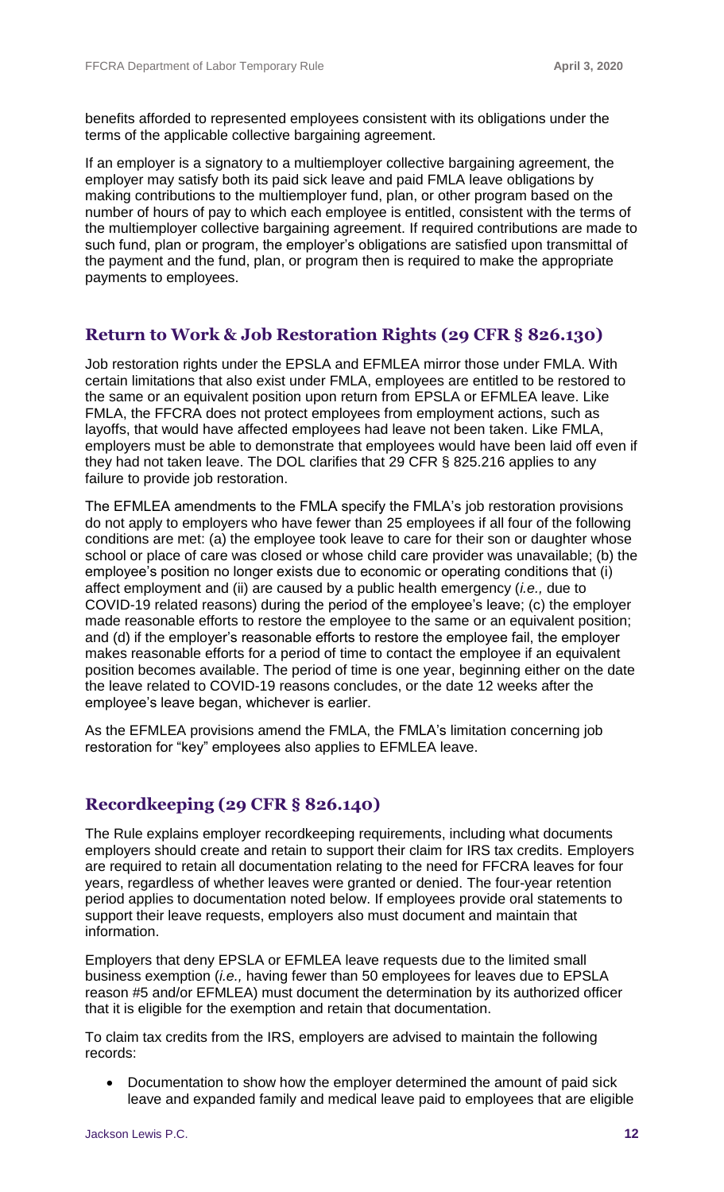benefits afforded to represented employees consistent with its obligations under the terms of the applicable collective bargaining agreement.

If an employer is a signatory to a multiemployer collective bargaining agreement, the employer may satisfy both its paid sick leave and paid FMLA leave obligations by making contributions to the multiemployer fund, plan, or other program based on the number of hours of pay to which each employee is entitled, consistent with the terms of the multiemployer collective bargaining agreement. If required contributions are made to such fund, plan or program, the employer's obligations are satisfied upon transmittal of the payment and the fund, plan, or program then is required to make the appropriate payments to employees.

#### **Return to Work & Job Restoration Rights (29 CFR § 826.130)**

Job restoration rights under the EPSLA and EFMLEA mirror those under FMLA. With certain limitations that also exist under FMLA, employees are entitled to be restored to the same or an equivalent position upon return from EPSLA or EFMLEA leave. Like FMLA, the FFCRA does not protect employees from employment actions, such as layoffs, that would have affected employees had leave not been taken. Like FMLA, employers must be able to demonstrate that employees would have been laid off even if they had not taken leave. The DOL clarifies that 29 CFR § 825.216 applies to any failure to provide job restoration.

The EFMLEA amendments to the FMLA specify the FMLA's job restoration provisions do not apply to employers who have fewer than 25 employees if all four of the following conditions are met: (a) the employee took leave to care for their son or daughter whose school or place of care was closed or whose child care provider was unavailable; (b) the employee's position no longer exists due to economic or operating conditions that (i) affect employment and (ii) are caused by a public health emergency (*i.e.,* due to COVID-19 related reasons) during the period of the employee's leave; (c) the employer made reasonable efforts to restore the employee to the same or an equivalent position; and (d) if the employer's reasonable efforts to restore the employee fail, the employer makes reasonable efforts for a period of time to contact the employee if an equivalent position becomes available. The period of time is one year, beginning either on the date the leave related to COVID-19 reasons concludes, or the date 12 weeks after the employee's leave began, whichever is earlier.

As the EFMLEA provisions amend the FMLA, the FMLA's limitation concerning job restoration for "key" employees also applies to EFMLEA leave.

#### **Recordkeeping (29 CFR § 826.140)**

The Rule explains employer recordkeeping requirements, including what documents employers should create and retain to support their claim for IRS tax credits. Employers are required to retain all documentation relating to the need for FFCRA leaves for four years, regardless of whether leaves were granted or denied. The four-year retention period applies to documentation noted below. If employees provide oral statements to support their leave requests, employers also must document and maintain that information.

Employers that deny EPSLA or EFMLEA leave requests due to the limited small business exemption (*i.e.,* having fewer than 50 employees for leaves due to EPSLA reason #5 and/or EFMLEA) must document the determination by its authorized officer that it is eligible for the exemption and retain that documentation.

To claim tax credits from the IRS, employers are advised to maintain the following records:

 Documentation to show how the employer determined the amount of paid sick leave and expanded family and medical leave paid to employees that are eligible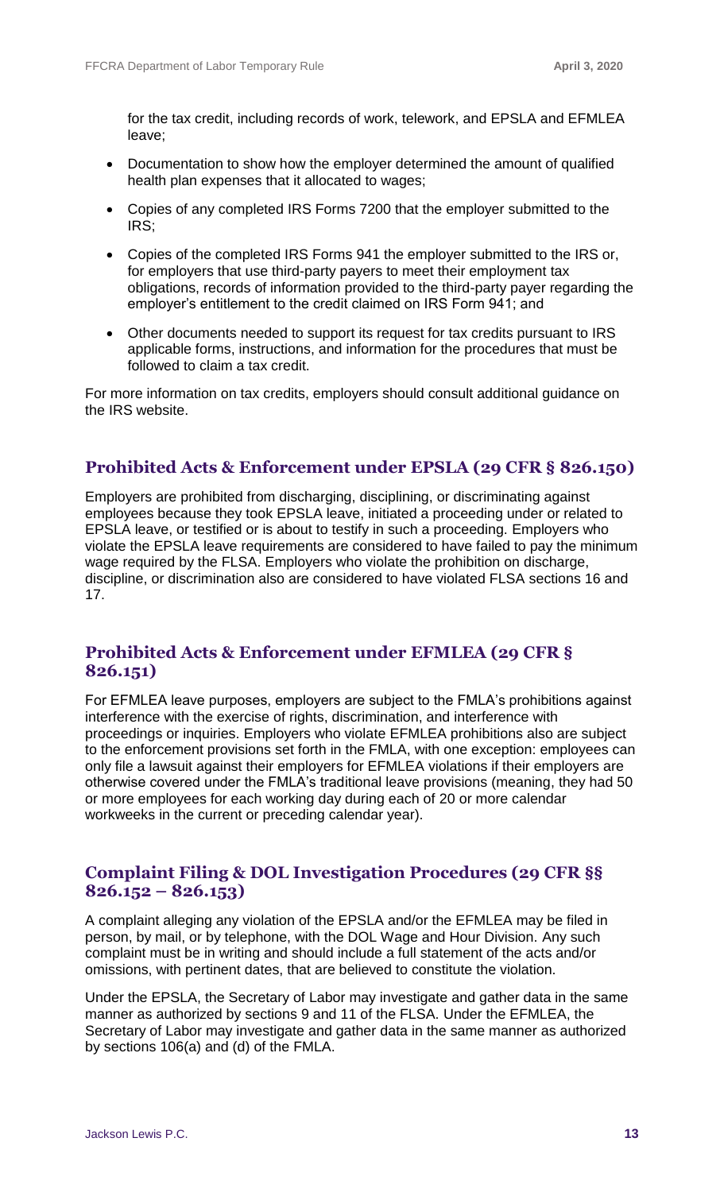for the tax credit, including records of work, telework, and EPSLA and EFMLEA leave;

- Documentation to show how the employer determined the amount of qualified health plan expenses that it allocated to wages;
- Copies of any completed IRS Forms 7200 that the employer submitted to the IRS;
- Copies of the completed IRS Forms 941 the employer submitted to the IRS or, for employers that use third-party payers to meet their employment tax obligations, records of information provided to the third-party payer regarding the employer's entitlement to the credit claimed on IRS Form 941; and
- Other documents needed to support its request for tax credits pursuant to IRS applicable forms, instructions, and information for the procedures that must be followed to claim a tax credit.

For more information on tax credits, employers should consult additional [guidance](https://www.irs.gov/newsroom/covid-19-related-tax-credits-for-required-paid-leave-provided-by-small-and-midsize-businesses-faqs) on the IRS website.

#### **Prohibited Acts & Enforcement under EPSLA (29 CFR § 826.150)**

Employers are prohibited from discharging, disciplining, or discriminating against employees because they took EPSLA leave, initiated a proceeding under or related to EPSLA leave, or testified or is about to testify in such a proceeding. Employers who violate the EPSLA leave requirements are considered to have failed to pay the minimum wage required by the FLSA. Employers who violate the prohibition on discharge, discipline, or discrimination also are considered to have violated FLSA sections 16 and 17.

#### **Prohibited Acts & Enforcement under EFMLEA (29 CFR § 826.151)**

For EFMLEA leave purposes, employers are subject to the FMLA's prohibitions against interference with the exercise of rights, discrimination, and interference with proceedings or inquiries. Employers who violate EFMLEA prohibitions also are subject to the enforcement provisions set forth in the FMLA, with one exception: employees can only file a lawsuit against their employers for EFMLEA violations if their employers are otherwise covered under the FMLA's traditional leave provisions (meaning, they had 50 or more employees for each working day during each of 20 or more calendar workweeks in the current or preceding calendar year).

#### **Complaint Filing & DOL Investigation Procedures (29 CFR §§ 826.152 – 826.153)**

A complaint alleging any violation of the EPSLA and/or the EFMLEA may be filed in person, by mail, or by telephone, with the DOL Wage and Hour Division. Any such complaint must be in writing and should include a full statement of the acts and/or omissions, with pertinent dates, that are believed to constitute the violation.

Under the EPSLA, the Secretary of Labor may investigate and gather data in the same manner as authorized by sections 9 and 11 of the FLSA. Under the EFMLEA, the Secretary of Labor may investigate and gather data in the same manner as authorized by sections 106(a) and (d) of the FMLA.